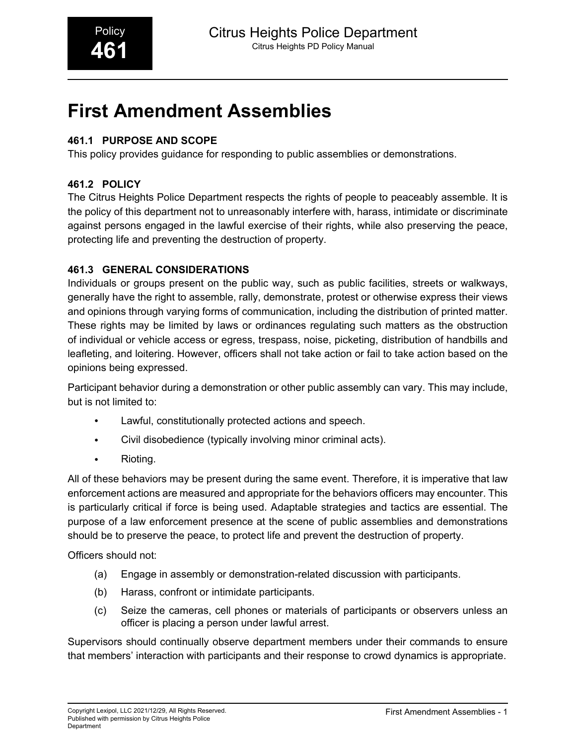# **First Amendment Assemblies**

## **461.1 PURPOSE AND SCOPE**

This policy provides guidance for responding to public assemblies or demonstrations.

## **461.2 POLICY**

The Citrus Heights Police Department respects the rights of people to peaceably assemble. It is the policy of this department not to unreasonably interfere with, harass, intimidate or discriminate against persons engaged in the lawful exercise of their rights, while also preserving the peace, protecting life and preventing the destruction of property.

## **461.3 GENERAL CONSIDERATIONS**

Individuals or groups present on the public way, such as public facilities, streets or walkways, generally have the right to assemble, rally, demonstrate, protest or otherwise express their views and opinions through varying forms of communication, including the distribution of printed matter. These rights may be limited by laws or ordinances regulating such matters as the obstruction of individual or vehicle access or egress, trespass, noise, picketing, distribution of handbills and leafleting, and loitering. However, officers shall not take action or fail to take action based on the opinions being expressed.

Participant behavior during a demonstration or other public assembly can vary. This may include, but is not limited to:

- Lawful, constitutionally protected actions and speech.
- Civil disobedience (typically involving minor criminal acts).
- Rioting.

All of these behaviors may be present during the same event. Therefore, it is imperative that law enforcement actions are measured and appropriate for the behaviors officers may encounter. This is particularly critical if force is being used. Adaptable strategies and tactics are essential. The purpose of a law enforcement presence at the scene of public assemblies and demonstrations should be to preserve the peace, to protect life and prevent the destruction of property.

Officers should not:

- (a) Engage in assembly or demonstration-related discussion with participants.
- (b) Harass, confront or intimidate participants.
- (c) Seize the cameras, cell phones or materials of participants or observers unless an officer is placing a person under lawful arrest.

Supervisors should continually observe department members under their commands to ensure that members' interaction with participants and their response to crowd dynamics is appropriate.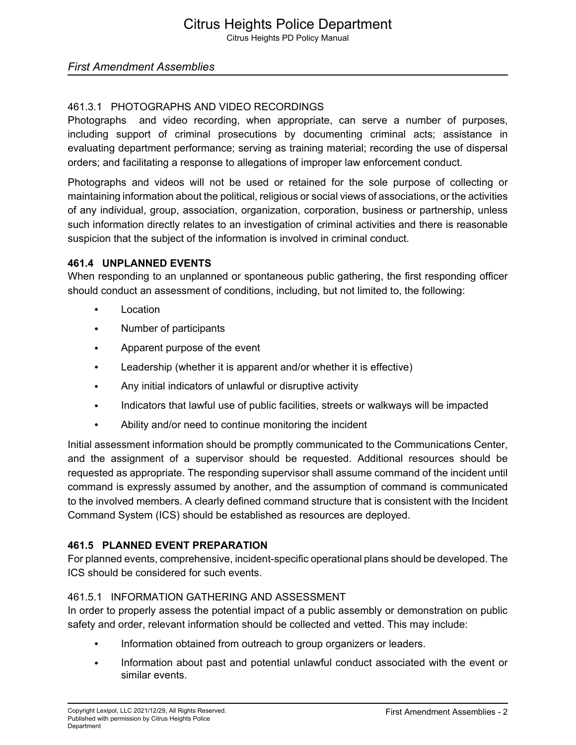## *First Amendment Assemblies*

## 461.3.1 PHOTOGRAPHS AND VIDEO RECORDINGS

Photographs and video recording, when appropriate, can serve a number of purposes, including support of criminal prosecutions by documenting criminal acts; assistance in evaluating department performance; serving as training material; recording the use of dispersal orders; and facilitating a response to allegations of improper law enforcement conduct.

Photographs and videos will not be used or retained for the sole purpose of collecting or maintaining information about the political, religious or social views of associations, or the activities of any individual, group, association, organization, corporation, business or partnership, unless such information directly relates to an investigation of criminal activities and there is reasonable suspicion that the subject of the information is involved in criminal conduct.

#### **461.4 UNPLANNED EVENTS**

When responding to an unplanned or spontaneous public gathering, the first responding officer should conduct an assessment of conditions, including, but not limited to, the following:

- **Location**
- Number of participants
- Apparent purpose of the event
- Leadership (whether it is apparent and/or whether it is effective)
- Any initial indicators of unlawful or disruptive activity
- Indicators that lawful use of public facilities, streets or walkways will be impacted
- Ability and/or need to continue monitoring the incident

Initial assessment information should be promptly communicated to the Communications Center, and the assignment of a supervisor should be requested. Additional resources should be requested as appropriate. The responding supervisor shall assume command of the incident until command is expressly assumed by another, and the assumption of command is communicated to the involved members. A clearly defined command structure that is consistent with the Incident Command System (ICS) should be established as resources are deployed.

## **461.5 PLANNED EVENT PREPARATION**

For planned events, comprehensive, incident-specific operational plans should be developed. The ICS should be considered for such events.

## 461.5.1 INFORMATION GATHERING AND ASSESSMENT

In order to properly assess the potential impact of a public assembly or demonstration on public safety and order, relevant information should be collected and vetted. This may include:

- Information obtained from outreach to group organizers or leaders.
- Information about past and potential unlawful conduct associated with the event or similar events.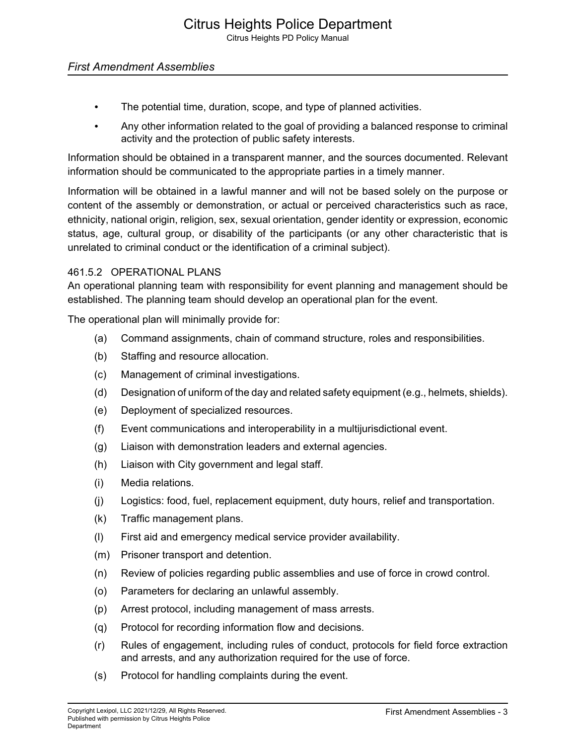## *First Amendment Assemblies*

- The potential time, duration, scope, and type of planned activities.
- Any other information related to the goal of providing a balanced response to criminal activity and the protection of public safety interests.

Information should be obtained in a transparent manner, and the sources documented. Relevant information should be communicated to the appropriate parties in a timely manner.

Information will be obtained in a lawful manner and will not be based solely on the purpose or content of the assembly or demonstration, or actual or perceived characteristics such as race, ethnicity, national origin, religion, sex, sexual orientation, gender identity or expression, economic status, age, cultural group, or disability of the participants (or any other characteristic that is unrelated to criminal conduct or the identification of a criminal subject).

#### 461.5.2 OPERATIONAL PLANS

An operational planning team with responsibility for event planning and management should be established. The planning team should develop an operational plan for the event.

The operational plan will minimally provide for:

- (a) Command assignments, chain of command structure, roles and responsibilities.
- (b) Staffing and resource allocation.
- (c) Management of criminal investigations.
- (d) Designation of uniform of the day and related safety equipment (e.g., helmets, shields).
- (e) Deployment of specialized resources.
- (f) Event communications and interoperability in a multijurisdictional event.
- (g) Liaison with demonstration leaders and external agencies.
- (h) Liaison with City government and legal staff.
- (i) Media relations.
- (j) Logistics: food, fuel, replacement equipment, duty hours, relief and transportation.
- (k) Traffic management plans.
- (l) First aid and emergency medical service provider availability.
- (m) Prisoner transport and detention.
- (n) Review of policies regarding public assemblies and use of force in crowd control.
- (o) Parameters for declaring an unlawful assembly.
- (p) Arrest protocol, including management of mass arrests.
- (q) Protocol for recording information flow and decisions.
- (r) Rules of engagement, including rules of conduct, protocols for field force extraction and arrests, and any authorization required for the use of force.
- (s) Protocol for handling complaints during the event.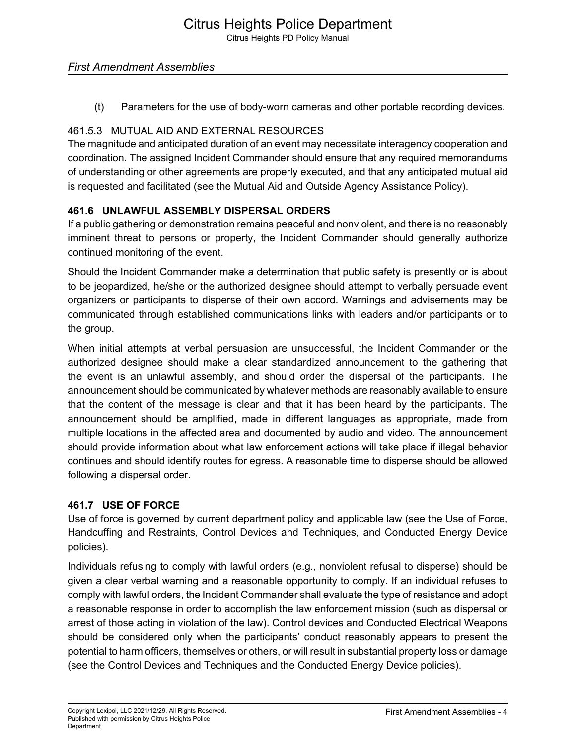Citrus Heights PD Policy Manual

## *First Amendment Assemblies*

(t) Parameters for the use of body-worn cameras and other portable recording devices.

## 461.5.3 MUTUAL AID AND EXTERNAL RESOURCES

The magnitude and anticipated duration of an event may necessitate interagency cooperation and coordination. The assigned Incident Commander should ensure that any required memorandums of understanding or other agreements are properly executed, and that any anticipated mutual aid is requested and facilitated (see the Mutual Aid and Outside Agency Assistance Policy).

## **461.6 UNLAWFUL ASSEMBLY DISPERSAL ORDERS**

If a public gathering or demonstration remains peaceful and nonviolent, and there is no reasonably imminent threat to persons or property, the Incident Commander should generally authorize continued monitoring of the event.

Should the Incident Commander make a determination that public safety is presently or is about to be jeopardized, he/she or the authorized designee should attempt to verbally persuade event organizers or participants to disperse of their own accord. Warnings and advisements may be communicated through established communications links with leaders and/or participants or to the group.

When initial attempts at verbal persuasion are unsuccessful, the Incident Commander or the authorized designee should make a clear standardized announcement to the gathering that the event is an unlawful assembly, and should order the dispersal of the participants. The announcement should be communicated by whatever methods are reasonably available to ensure that the content of the message is clear and that it has been heard by the participants. The announcement should be amplified, made in different languages as appropriate, made from multiple locations in the affected area and documented by audio and video. The announcement should provide information about what law enforcement actions will take place if illegal behavior continues and should identify routes for egress. A reasonable time to disperse should be allowed following a dispersal order.

## **461.7 USE OF FORCE**

Use of force is governed by current department policy and applicable law (see the Use of Force, Handcuffing and Restraints, Control Devices and Techniques, and Conducted Energy Device policies).

Individuals refusing to comply with lawful orders (e.g., nonviolent refusal to disperse) should be given a clear verbal warning and a reasonable opportunity to comply. If an individual refuses to comply with lawful orders, the Incident Commander shall evaluate the type of resistance and adopt a reasonable response in order to accomplish the law enforcement mission (such as dispersal or arrest of those acting in violation of the law). Control devices and Conducted Electrical Weapons should be considered only when the participants' conduct reasonably appears to present the potential to harm officers, themselves or others, or will result in substantial property loss or damage (see the Control Devices and Techniques and the Conducted Energy Device policies).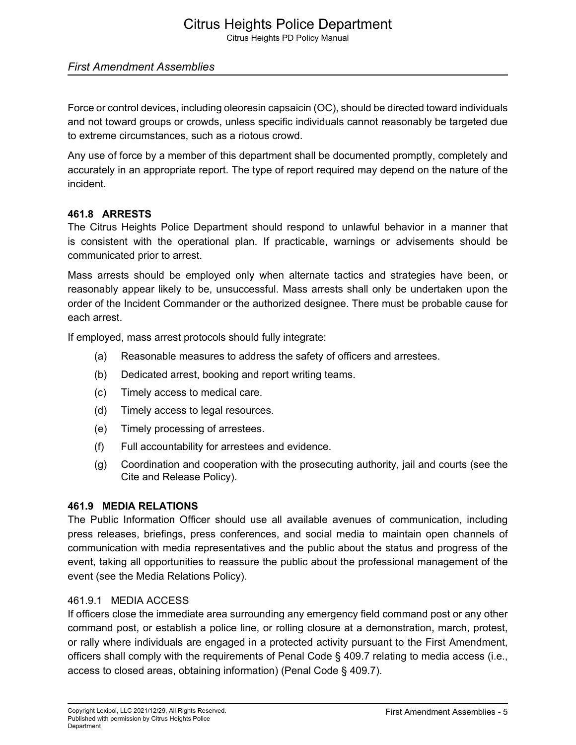# Citrus Heights Police Department

Citrus Heights PD Policy Manual

#### *First Amendment Assemblies*

Force or control devices, including oleoresin capsaicin (OC), should be directed toward individuals and not toward groups or crowds, unless specific individuals cannot reasonably be targeted due to extreme circumstances, such as a riotous crowd.

Any use of force by a member of this department shall be documented promptly, completely and accurately in an appropriate report. The type of report required may depend on the nature of the incident.

#### **461.8 ARRESTS**

The Citrus Heights Police Department should respond to unlawful behavior in a manner that is consistent with the operational plan. If practicable, warnings or advisements should be communicated prior to arrest.

Mass arrests should be employed only when alternate tactics and strategies have been, or reasonably appear likely to be, unsuccessful. Mass arrests shall only be undertaken upon the order of the Incident Commander or the authorized designee. There must be probable cause for each arrest.

If employed, mass arrest protocols should fully integrate:

- (a) Reasonable measures to address the safety of officers and arrestees.
- (b) Dedicated arrest, booking and report writing teams.
- (c) Timely access to medical care.
- (d) Timely access to legal resources.
- (e) Timely processing of arrestees.
- (f) Full accountability for arrestees and evidence.
- (g) Coordination and cooperation with the prosecuting authority, jail and courts (see the Cite and Release Policy).

#### **461.9 MEDIA RELATIONS**

The Public Information Officer should use all available avenues of communication, including press releases, briefings, press conferences, and social media to maintain open channels of communication with media representatives and the public about the status and progress of the event, taking all opportunities to reassure the public about the professional management of the event (see the Media Relations Policy).

#### 461.9.1 MEDIA ACCESS

If officers close the immediate area surrounding any emergency field command post or any other command post, or establish a police line, or rolling closure at a demonstration, march, protest, or rally where individuals are engaged in a protected activity pursuant to the First Amendment, officers shall comply with the requirements of Penal Code § 409.7 relating to media access (i.e., access to closed areas, obtaining information) (Penal Code § 409.7).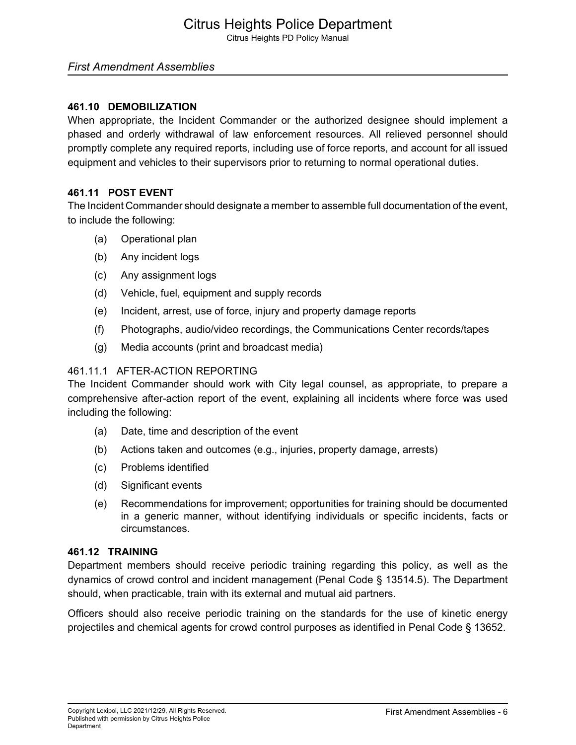Citrus Heights PD Policy Manual

#### *First Amendment Assemblies*

#### **461.10 DEMOBILIZATION**

When appropriate, the Incident Commander or the authorized designee should implement a phased and orderly withdrawal of law enforcement resources. All relieved personnel should promptly complete any required reports, including use of force reports, and account for all issued equipment and vehicles to their supervisors prior to returning to normal operational duties.

## **461.11 POST EVENT**

The Incident Commander should designate a member to assemble full documentation of the event, to include the following:

- (a) Operational plan
- (b) Any incident logs
- (c) Any assignment logs
- (d) Vehicle, fuel, equipment and supply records
- (e) Incident, arrest, use of force, injury and property damage reports
- (f) Photographs, audio/video recordings, the Communications Center records/tapes
- (g) Media accounts (print and broadcast media)

#### 461.11.1 AFTER-ACTION REPORTING

The Incident Commander should work with City legal counsel, as appropriate, to prepare a comprehensive after-action report of the event, explaining all incidents where force was used including the following:

- (a) Date, time and description of the event
- (b) Actions taken and outcomes (e.g., injuries, property damage, arrests)
- (c) Problems identified
- (d) Significant events
- (e) Recommendations for improvement; opportunities for training should be documented in a generic manner, without identifying individuals or specific incidents, facts or circumstances.

#### **461.12 TRAINING**

Department members should receive periodic training regarding this policy, as well as the dynamics of crowd control and incident management (Penal Code § 13514.5). The Department should, when practicable, train with its external and mutual aid partners.

Officers should also receive periodic training on the standards for the use of kinetic energy projectiles and chemical agents for crowd control purposes as identified in Penal Code § 13652.